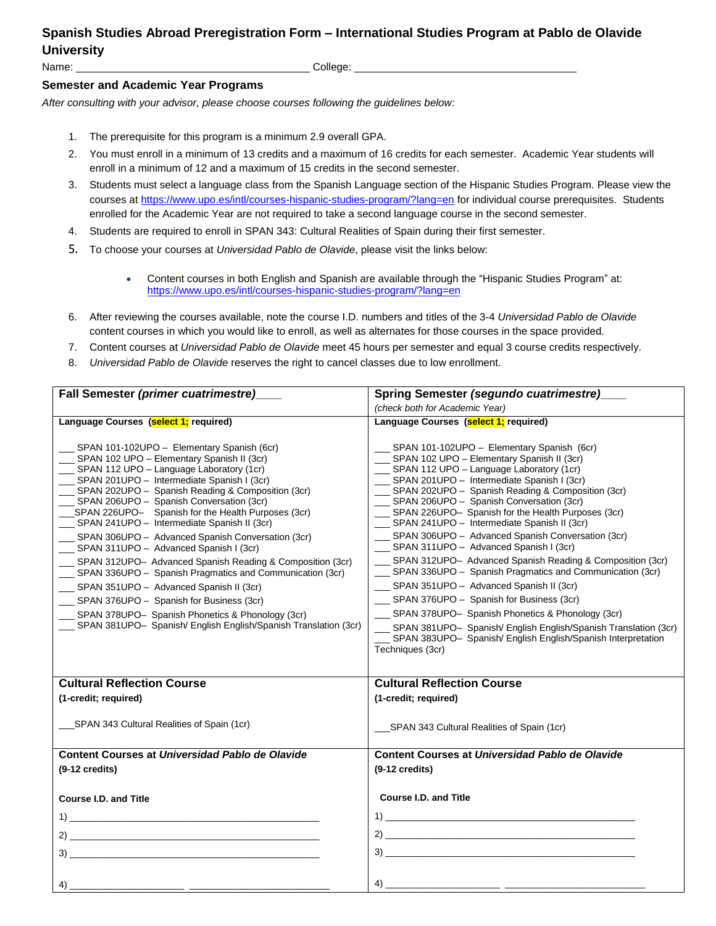## **Spanish Studies Abroad Preregistration Form – International Studies Program at Pablo de Olavide University**

Name: \_\_\_\_\_\_\_\_\_\_\_\_\_\_\_\_\_\_\_\_\_\_\_\_\_\_\_\_\_\_\_\_\_\_\_\_\_\_\_\_ College: \_\_\_\_\_\_\_\_\_\_\_\_\_\_\_\_\_\_\_\_\_\_\_\_\_\_\_\_\_\_\_\_\_\_\_\_\_\_

## **Semester and Academic Year Programs**

*After consulting with your advisor, please choose courses following the guidelines below:*

- 1. The prerequisite for this program is a minimum 2.9 overall GPA.
- 2. You must enroll in a minimum of 13 credits and a maximum of 16 credits for each semester. Academic Year students will enroll in a minimum of 12 and a maximum of 15 credits in the second semester.
- 3. Students must select a language class from the Spanish Language section of the Hispanic Studies Program. Please view the courses at <https://www.upo.es/intl/courses-hispanic-studies-program/?lang=en> for individual course prerequisites. Students enrolled for the Academic Year are not required to take a second language course in the second semester.
- 4. Students are required to enroll in SPAN 343: Cultural Realities of Spain during their first semester.
- 5. To choose your courses at *Universidad Pablo de Olavide*, please visit the links below:
	- Content courses in both English and Spanish are available through the "Hispanic Studies Program" at: <https://www.upo.es/intl/courses-hispanic-studies-program/?lang=en>
- 6. After reviewing the courses available, note the course I.D. numbers and titles of the 3-4 *Universidad Pablo de Olavide* content courses in which you would like to enroll, as well as alternates for those courses in the space provided.
- 7. Content courses at *Universidad Pablo de Olavide* meet 45 hours per semester and equal 3 course credits respectively.
- 8. *Universidad Pablo de Olavide* reserves the right to cancel classes due to low enrollment.

| Fall Semester (primer cuatrimestre)                                                                                                                                                                                                                                                                                                                                                                                                                                                                                                                                                                                                                                                                                                                                                                                                                              | Spring Semester (segundo cuatrimestre)                                                                                                                                                                                                                                                                                                                                                                                                                                                                                                                                                                                                                                                                                                                                                                                                                                                                                                                    |
|------------------------------------------------------------------------------------------------------------------------------------------------------------------------------------------------------------------------------------------------------------------------------------------------------------------------------------------------------------------------------------------------------------------------------------------------------------------------------------------------------------------------------------------------------------------------------------------------------------------------------------------------------------------------------------------------------------------------------------------------------------------------------------------------------------------------------------------------------------------|-----------------------------------------------------------------------------------------------------------------------------------------------------------------------------------------------------------------------------------------------------------------------------------------------------------------------------------------------------------------------------------------------------------------------------------------------------------------------------------------------------------------------------------------------------------------------------------------------------------------------------------------------------------------------------------------------------------------------------------------------------------------------------------------------------------------------------------------------------------------------------------------------------------------------------------------------------------|
|                                                                                                                                                                                                                                                                                                                                                                                                                                                                                                                                                                                                                                                                                                                                                                                                                                                                  | (check both for Academic Year)                                                                                                                                                                                                                                                                                                                                                                                                                                                                                                                                                                                                                                                                                                                                                                                                                                                                                                                            |
| Language Courses (select 1; required)                                                                                                                                                                                                                                                                                                                                                                                                                                                                                                                                                                                                                                                                                                                                                                                                                            | Language Courses (select 1; required)                                                                                                                                                                                                                                                                                                                                                                                                                                                                                                                                                                                                                                                                                                                                                                                                                                                                                                                     |
| _SPAN 101-102UPO - Elementary Spanish (6cr)<br>__ SPAN 102 UPO - Elementary Spanish II (3cr)<br>_ SPAN 112 UPO - Language Laboratory (1cr)<br>_ SPAN 201UPO - Intermediate Spanish I (3cr)<br>__ SPAN 202UPO - Spanish Reading & Composition (3cr)<br>_ SPAN 206UPO - Spanish Conversation (3cr)<br>__SPAN 226UPO- Spanish for the Health Purposes (3cr)<br>__ SPAN 241UPO - Intermediate Spanish II (3cr)<br>_ SPAN 306UPO - Advanced Spanish Conversation (3cr)<br>SPAN 311UPO - Advanced Spanish I (3cr)<br>_ SPAN 312UPO- Advanced Spanish Reading & Composition (3cr)<br>__ SPAN 336UPO - Spanish Pragmatics and Communication (3cr)<br>__ SPAN 351UPO - Advanced Spanish II (3cr)<br>__ SPAN 376UPO - Spanish for Business (3cr)<br>SPAN 378UPO- Spanish Phonetics & Phonology (3cr)<br>__ SPAN 381UPO- Spanish/ English English/Spanish Translation (3cr) | __ SPAN 101-102UPO - Elementary Spanish (6cr)<br>__ SPAN 102 UPO - Elementary Spanish II (3cr)<br>__ SPAN 112 UPO - Language Laboratory (1cr)<br>__ SPAN 201UPO - Intermediate Spanish I (3cr)<br>__ SPAN 202UPO - Spanish Reading & Composition (3cr)<br>__ SPAN 206UPO - Spanish Conversation (3cr)<br>__ SPAN 226UPO- Spanish for the Health Purposes (3cr)<br>__ SPAN 241UPO - Intermediate Spanish II (3cr)<br>SPAN 306UPO - Advanced Spanish Conversation (3cr)<br>SPAN 311UPO - Advanced Spanish I (3cr)<br>__ SPAN 312UPO- Advanced Spanish Reading & Composition (3cr)<br>__ SPAN 336UPO - Spanish Pragmatics and Communication (3cr)<br>__ SPAN 351UPO - Advanced Spanish II (3cr)<br>__ SPAN 376UPO - Spanish for Business (3cr)<br>SPAN 378UPO- Spanish Phonetics & Phonology (3cr)<br>__ SPAN 381UPO- Spanish/ English English/Spanish Translation (3cr)<br>SPAN 383UPO- Spanish/ English English/Spanish Interpretation<br>Techniques (3cr) |
| <b>Cultural Reflection Course</b>                                                                                                                                                                                                                                                                                                                                                                                                                                                                                                                                                                                                                                                                                                                                                                                                                                | <b>Cultural Reflection Course</b>                                                                                                                                                                                                                                                                                                                                                                                                                                                                                                                                                                                                                                                                                                                                                                                                                                                                                                                         |
| (1-credit; required)                                                                                                                                                                                                                                                                                                                                                                                                                                                                                                                                                                                                                                                                                                                                                                                                                                             | (1-credit; required)                                                                                                                                                                                                                                                                                                                                                                                                                                                                                                                                                                                                                                                                                                                                                                                                                                                                                                                                      |
| SPAN 343 Cultural Realities of Spain (1cr)                                                                                                                                                                                                                                                                                                                                                                                                                                                                                                                                                                                                                                                                                                                                                                                                                       | ___SPAN 343 Cultural Realities of Spain (1cr)                                                                                                                                                                                                                                                                                                                                                                                                                                                                                                                                                                                                                                                                                                                                                                                                                                                                                                             |
| Content Courses at Universidad Pablo de Olavide                                                                                                                                                                                                                                                                                                                                                                                                                                                                                                                                                                                                                                                                                                                                                                                                                  | Content Courses at Universidad Pablo de Olavide                                                                                                                                                                                                                                                                                                                                                                                                                                                                                                                                                                                                                                                                                                                                                                                                                                                                                                           |
| $(9-12 \text{ credits})$                                                                                                                                                                                                                                                                                                                                                                                                                                                                                                                                                                                                                                                                                                                                                                                                                                         | $(9-12 \text{ credits})$                                                                                                                                                                                                                                                                                                                                                                                                                                                                                                                                                                                                                                                                                                                                                                                                                                                                                                                                  |
| <b>Course I.D. and Title</b>                                                                                                                                                                                                                                                                                                                                                                                                                                                                                                                                                                                                                                                                                                                                                                                                                                     | <b>Course I.D. and Title</b>                                                                                                                                                                                                                                                                                                                                                                                                                                                                                                                                                                                                                                                                                                                                                                                                                                                                                                                              |
|                                                                                                                                                                                                                                                                                                                                                                                                                                                                                                                                                                                                                                                                                                                                                                                                                                                                  | $\left( \begin{array}{ccc} 4) & \begin{array}{ccc} \end{array} & \begin{array}{ccc} \end{array} & \begin{array}{ccc} \end{array} & \begin{array}{ccc} \end{array} & \begin{array}{ccc} \end{array} & \begin{array}{ccc} \end{array} & \begin{array}{ccc} \end{array} & \begin{array}{ccc} \end{array} & \begin{array}{ccc} \end{array} & \begin{array}{ccc} \end{array} & \begin{array}{ccc} \end{array} & \begin{array}{ccc} \end{array} & \begin{array}{ccc} \end{array} & \begin{array}{ccc} \end{array} & \begin{array}{ccc} \end{array} & \begin{array}{ccc} \end{array$                                                                                                                                                                                                                                                                                                                                                                             |